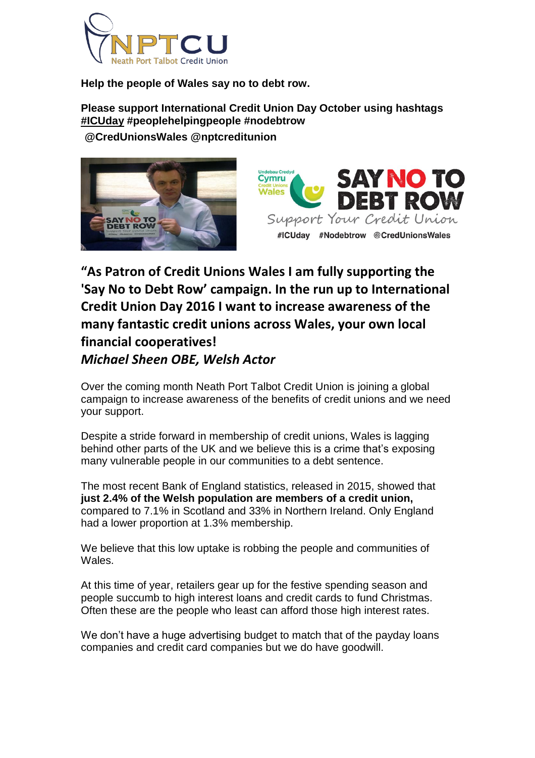

**Help the people of Wales say no to debt row.**

**Please support International Credit Union Day October using hashtags [#ICUday](https://twitter.com/hashtag/ICUday?src=hash) #peoplehelpingpeople #nodebtrow @CredUnionsWales @nptcreditunion**





**"As Patron of Credit Unions Wales I am fully supporting the 'Say No to Debt Row' campaign. In the run up to International Credit Union Day 2016 I want to increase awareness of the many fantastic credit unions across Wales, your own local financial cooperatives!** *Michael Sheen OBE, Welsh Actor*

Over the coming month Neath Port Talbot Credit Union is joining a global campaign to increase awareness of the benefits of credit unions and we need your support.

Despite a stride forward in membership of credit unions, Wales is lagging behind other parts of the UK and we believe this is a crime that's exposing many vulnerable people in our communities to a debt sentence.

The most recent Bank of England statistics, released in 2015, showed that **just 2.4% of the Welsh population are members of a credit union,** compared to 7.1% in Scotland and 33% in Northern Ireland. Only England had a lower proportion at 1.3% membership.

We believe that this low uptake is robbing the people and communities of Wales.

At this time of year, retailers gear up for the festive spending season and people succumb to high interest loans and credit cards to fund Christmas. Often these are the people who least can afford those high interest rates.

We don't have a huge advertising budget to match that of the payday loans companies and credit card companies but we do have goodwill.